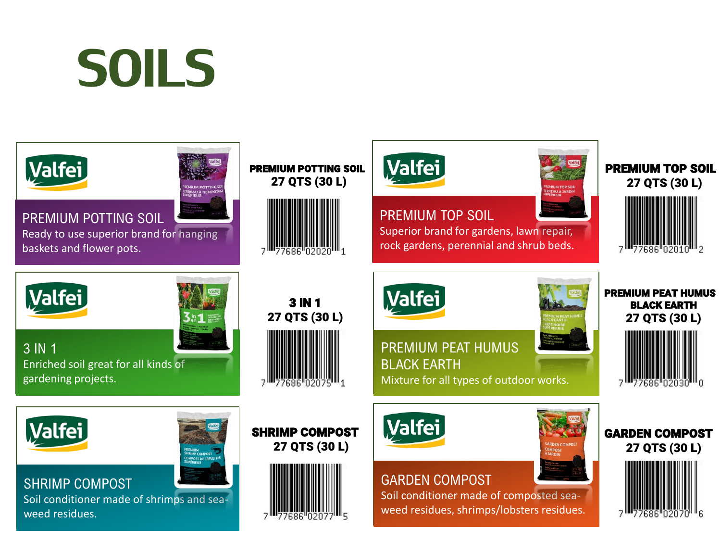## SOILS

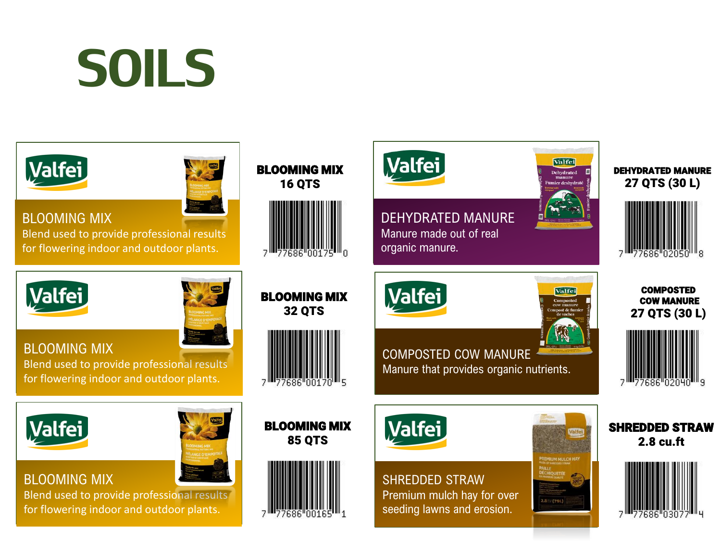## SOILS

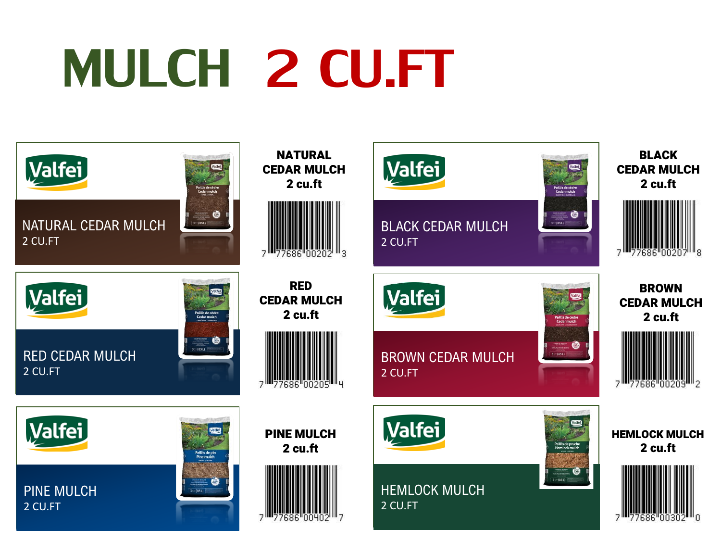# MULCH 2 CU.FT

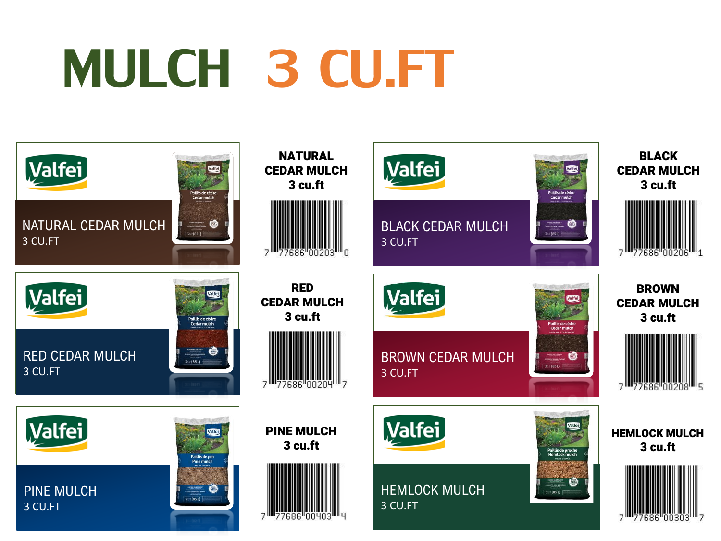# MULCH 3 CU.FT

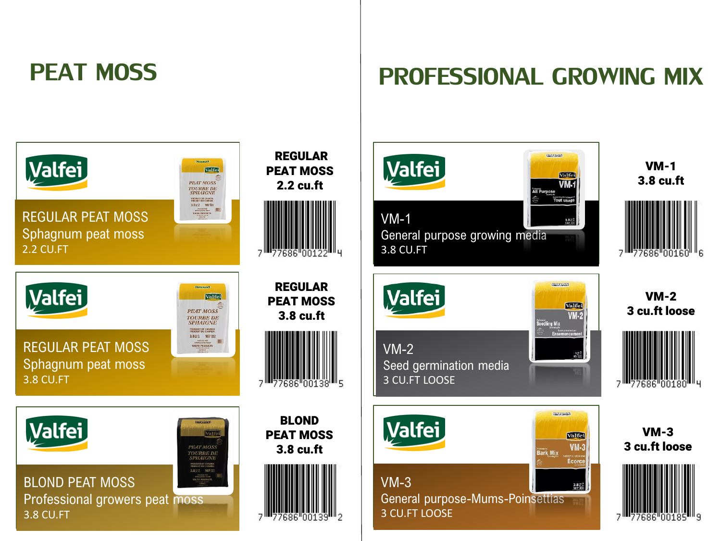#### PEAT MOSS

#### PROFESSIONAL GROWING MIX